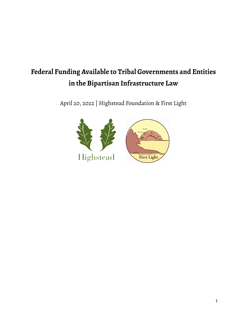# **Federal Funding Available to Tribal Governments and Entities in the Bipartisan Infrastructure Law**

April 20, 2022 | Highstead Foundation & First Light

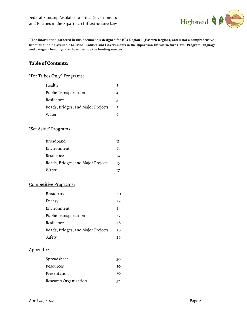

**\*The information gathered in this document is designed for BIA Region 1 (Eastern Region), and is not a comprehensive list of all funding available to Tribal Entities and Governments in the Bipartisan Infrastructure Law. Program language and category headings are those used by the funding sources.**

# **Table of Contents:**

# "For Tribes Only" Programs:

| Health                             |    |
|------------------------------------|----|
| Public Transportation              |    |
| Resilience                         | 5. |
| Roads, Bridges, and Major Projects |    |
| Water                              |    |

# "Set Aside" Programs:

| Broadband                          | 11 |
|------------------------------------|----|
| Environment                        | 13 |
| Resilience                         | 14 |
| Roads, Bridges, and Major Projects | 15 |
| Water                              | 17 |

## Competitive Programs:

| Broadband                          | 20 |
|------------------------------------|----|
| Energy                             | 22 |
| Environment                        | 24 |
| Public Transportation              | 27 |
| Resilience                         | 28 |
| Roads, Bridges, and Major Projects | 28 |
| Safety                             | 29 |

# Appendix:

| Spreadsheet           | 30 |
|-----------------------|----|
| Resources             | 30 |
| Presentation          | 30 |
| Research Organization | 32 |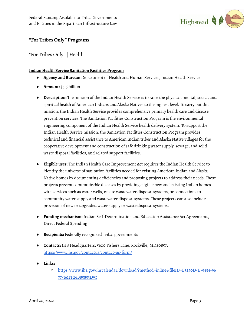

# **"For Tribes Only" Programs**

"For Tribes Only"| Health

# **Indian Health Service Sanitation Facilities Program**

- **Agency and Bureau:** Department of Health and Human Services,Indian Health Service
- **Amount:** \$3.5 billion
- **Description:** The mission of the Indian Health Service is to raise the physical, mental, social, and spiritual health of American Indians and Alaska Natives to the highest level. To carry out this mission, the Indian Health Service provides comprehensive primary health care and disease prevention services. The Sanitation Facilities Construction Program is the environmental engineering component of the Indian Health Service health delivery system. To support the Indian Health Service mission, the Sanitation Facilities Construction Program provides technical and financial assistance to American Indian tribes and Alaska Native villages for the cooperative development and construction of safe drinking water supply, sewage, and solid waste disposal facilities, and related support facilities.
- **Eligible uses:** The Indian Health Care Improvement Act requires the Indian Health Service to identify the universe of sanitation facilities needed for existing American Indian and Alaska Native homes by documenting deficiencies and proposing projects to address their needs. These projects prevent communicable diseases by providing eligible new and existing Indian homes with services such as water wells, onsite wastewater disposal systems, or connections to community water supply and wastewater disposal systems. These projects can also include provision of new or upgraded water supply or waste disposal systems.
- **Funding mechanism:** Indian Self-Determination and Education Assistance Act Agreements, Direct Federal Spending
- **Recipients:** Federally recognized Tribal governments
- **Contacts:**IHS Headquarters, 5600 Fishers Lane, Rockville, MD20857. <https://www.ihs.gov/contactus/contact-us-form/>
- **Links:**
	- [https://www.ihs.gov/ihscalendar/download/?method=inline&fileID=B3270D4B-9454-96](https://www.ihs.gov/ihscalendar/download/?method=inline&fileID=B3270D4B-9454-9677-161FF26B85853D90) [77-161FF26B85853D90](https://www.ihs.gov/ihscalendar/download/?method=inline&fileID=B3270D4B-9454-9677-161FF26B85853D90)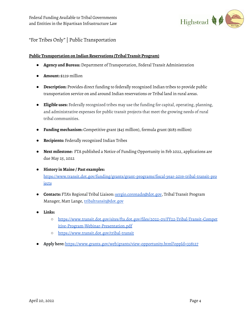

# "For Tribes Only"| Public Transportation

#### **Public Transportation on Indian Reservations (Tribal Transit Program)**

- **Agency and Bureau:** Department of Transportation, Federal Transit Administration
- **Amount:** \$229 million
- **Description:** Provides direct funding to federally recognized Indian tribes to provide public transportation service on and around Indian reservations or Tribal land in rural areas.
- **Eligible uses:** Federally recognized tribes may use the funding for capital, operating, planning, and administrative expenses for public transit projects that meet the growing needs of rural tribal communities.
- **Funding mechanism:** Competitive grant (\$45 million), formula grant (\$183 million)
- **Recipients:** Federally recognized Indian Tribes
- **Next milestone:** FTA published a Notice of Funding Opportunity in Feb 2022, applications are due May 25, 2022
- **History in Maine / Past examples:** [https://www.transit.dot.gov/funding/grants/grant-programs/fiscal-year-2019-tribal-transit-pro](https://www.transit.dot.gov/funding/grants/grant-programs/fiscal-year-2019-tribal-transit-projects) **[jects](https://www.transit.dot.gov/funding/grants/grant-programs/fiscal-year-2019-tribal-transit-projects)**
- **Contacts:** FTA's Regional Tribal Liaison: [sergio.coronado@dot.gov,](mailto:sergio.coronado@dot.gov) Tribal Transit Program Manager, Matt Lange, [tribaltransit@dot.gov](mailto:tribaltransit@dot.gov)
- **Links:**
	- [https://www.transit.dot.gov/sites/fta.dot.gov/files/2022-03/FY22-Tribal-Transit-Compet](https://www.transit.dot.gov/sites/fta.dot.gov/files/2022-03/FY22-Tribal-Transit-Competitive-Program-Webinar-Presentation.pdf) [itive-Program-Webinar-Presentation.pdf](https://www.transit.dot.gov/sites/fta.dot.gov/files/2022-03/FY22-Tribal-Transit-Competitive-Program-Webinar-Presentation.pdf)
	- <https://www.transit.dot.gov/tribal-transit>
- **Apply here:** <https://www.grants.gov/web/grants/view-opportunity.html?oppId=338127>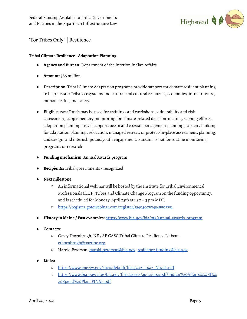

# "For Tribes Only"| Resilience

# **Tribal Climate Resilience -Adaptation Planning**

- **Agency and Bureau:** Department of the Interior, Indian Affairs
- **Amount:** \$86 million
- **Description:** Tribal Climate Adaptation programs provide support for climate resilient planning to help sustain Tribal ecosystems and natural and cultural resources, economies, infrastructure, human health, and safety.
- **Eligible uses:** Funds may be used for trainings and workshops, vulnerability and risk assessment, supplementary monitoring for climate-related decision-making, scoping efforts, adaptation planning, travel support, ocean and coastal management planning, capacity building for adaptation planning, relocation, managed retreat, or protect-in-place assessment, planning, and design; and internships and youth engagement. Funding is not for routine monitoring programs or research.
- **Funding mechanism:** Annual Awards program
- **Recipients:** Tribal governments recognized
- **● Next milestone:**
	- An informational webinar will be hosted by the Institute for Tribal Environmental Professionals (ITEP) Tribes and Climate Change Program on the funding opportunity, and is scheduled for Monday, April 25th at 1:30 – 3 pm MDT.
	- <https://register.gotowebinar.com/register/1540500874348907791>
- **History in Maine / Past examples:** <https://www.bia.gov/bia/ots/annual-awards-program>
- **Contacts:**
	- Casey Thornbrugh, NE / SE CASC Tribal Climate Resilience Liaison, [cthornbrugh@usetinc.org](mailto:cthornbrugh@usetinc.org)
	- Harold Peterson, [harold.peterson@bia.gov,](mailto:harold.peterson@bia.gov) [resilience.funding@bia.gov](mailto:resilience.funding@bia.gov)
- **● Links:**
	- **○** [https://www.energy.gov/sites/default/files/2021-04/2\\_Novak.pdf](https://www.energy.gov/sites/default/files/2021-04/2_Novak.pdf)
	- **○** [https://www.bia.gov/sites/bia.gov/files/assets/as-ia/opa/pdf/Indian%20Affairs%20BIL%](https://www.bia.gov/sites/bia.gov/files/assets/as-ia/opa/pdf/Indian%20Affairs%20BIL%20Spend%20Plan_FINAL.pdf) [20Spend%20Plan\\_FINAL.pdf](https://www.bia.gov/sites/bia.gov/files/assets/as-ia/opa/pdf/Indian%20Affairs%20BIL%20Spend%20Plan_FINAL.pdf)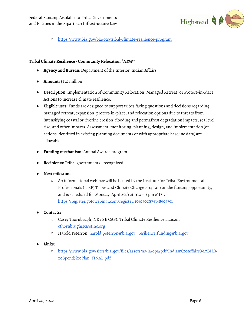

**○** <https://www.bia.gov/bia/ots/tribal-climate-resilience-program>

#### **Tribal Climate Resilience -Community Relocation** *\*NEW\**

- **Agency and Bureau:** Department of the Interior,Indian Affairs
- **Amount:** \$130 million
- **Description:** Implementation of Community Relocation, Managed Retreat, or Protect-in-Place Actions to increase climate resilience.
- **Eligible uses:** Funds are designed to support tribes facing questions and decisions regarding managed retreat, expansion, protect-in-place, and relocation options due to threats from intensifying coastal or riverine erosion, flooding and permafrost degradation impacts, sea level rise, and other impacts. Assessment, monitoring, planning, design, and implementation (of actions identified in existing planning documents or with appropriate baseline data) are allowable.
- **Funding mechanism:** Annual Awards program
- **Recipients:** Tribal governments recognized
- **Next milestone:**
	- An informational webinar will be hosted by the Institute for Tribal Environmental Professionals (ITEP) Tribes and Climate Change Program on the funding opportunity, and is scheduled for Monday, April 25th at 1:30 – 3 pm MDT. <https://register.gotowebinar.com/register/1540500874348907791>
- **Contacts:**
	- Casey Thornbrugh, NE / SE CASC Tribal Climate Resilience Liaison, [cthornbrugh@usetinc.org](mailto:cthornbrugh@usetinc.org)
	- Harold Peterson, [harold.peterson@bia.gov](mailto:harold.peterson@bia.gov) , [resilience.funding@bia.gov](mailto:resilience.funding@bia.gov)
- **Links:**
	- [https://www.bia.gov/sites/bia.gov/files/assets/as-ia/opa/pdf/Indian%20Affairs%20BIL%](https://www.bia.gov/sites/bia.gov/files/assets/as-ia/opa/pdf/Indian%20Affairs%20BIL%20Spend%20Plan_FINAL.pdf) [20Spend%20Plan\\_FINAL.pdf](https://www.bia.gov/sites/bia.gov/files/assets/as-ia/opa/pdf/Indian%20Affairs%20BIL%20Spend%20Plan_FINAL.pdf)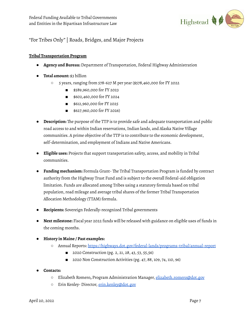

# "For Tribes Only"| Roads, Bridges, and Major Projects

## **Tribal Transportation Program**

- **Agency and Bureau:** Department of Transportation, Federal Highway Administration
- **Total amount:** \$3 billion
	- 5 years,ranging from 578-627 M per year (\$578,460,000 for FY 2022
		- \$589,960,000 for FY 2023
		- \$602,460,000 for FY 2024
		- \$612,960,000 for FY 2025
		- \$627,960,000 for FY 2026)
- **Description:** The purpose of the TTP is to provide safe and adequate transportation and public road access to and within Indian reservations, Indian lands, and Alaska Native Village communities. A prime objective of the TTP is to contribute to the economic development, self-determination, and employment of Indians and Native Americans.
- **Eligible uses:** Projects that support transportation safety, access, and mobility in Tribal communities.
- **Funding mechanism:** Formula Grant- The Tribal Transportation Program is funded by contract authority from the Highway Trust Fund and is subject to the overall Federal-aid obligation limitation. Funds are allocated among Tribes using a statutory formula based on tribal population, road mileage and average tribal shares of the former Tribal Transportation Allocation Methodology (TTAM) formula.
- **Recipients:** Sovereign Federally-recognized Tribal governments
- **Next milestone:** Fiscal year 2022 funds will be released with guidance on eligible uses of funds in the coming months.
- **● History in Maine / Past examples:**
	- Annual Reports: <https://highways.dot.gov/federal-lands/programs-tribal/annual-report>
		- 2020 Construction (pg. 2, 21, 28, 43, 53, 55,56)
		- 2020 Non Construction Activities (pg. 47, 88, 109, 74, 110, 96)
- **● Contacts:**
	- Elizabeth Romero**,** Program Administration Manager, [elizabeth.romero@dot.gov](mailto:elizabeth.romero@dot.gov)
	- o Erin Kenley- Director, [erin.kenley@dot.gov](mailto:erin.kenley@dot.gov)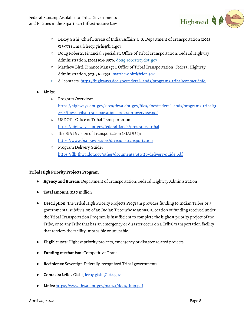

- LeRoy Gishi, Chief Bureau of Indian Affairs U.S. Department of Transportation (202) 513-7714 Email: leroy.gishi@bia.gov
- Doug Roberts, Financial Specialist, Office of Tribal Transportation, Federal Highway Administration, (202) 924-8876, doug.roberts@dot.gov
- Matthew Bird, Finance Manager, Office of Tribal Transportation, Federal Highway Administration, 503-316-2551, [matthew.bird@dot.gov](mailto:matthew.bird@dot.gov)
- All contacts: <https://highways.dot.gov/federal-lands/programs-tribal/contact-info>
- **● Links:**
	- Program Overview: [https://highways.dot.gov/sites/fhwa.dot.gov/files/docs/federal-lands/programs-tribal/3](https://highways.dot.gov/sites/fhwa.dot.gov/files/docs/federal-lands/programs-tribal/32716/fhwa-tribal-transportation-program-overview.pdf) [2716/fhwa-tribal-transportation-program-overview.pdf](https://highways.dot.gov/sites/fhwa.dot.gov/files/docs/federal-lands/programs-tribal/32716/fhwa-tribal-transportation-program-overview.pdf)
	- USDOT Office of Tribal Transportation: <https://highways.dot.gov/federal-lands/programs-tribal>
	- The BIA Division of Transportation (BIADOT): <https://www.bia.gov/bia/ois/division-transportation>
	- Program Delivery Guide: <https://flh.fhwa.dot.gov/other/documents/ott/ttp-delivery-guide.pdf>

# **Tribal High Priority Projects Program**

- **Agency and Bureau:** Department of Transportation, Federal Highway Administration
- **Total amount:** \$150 million
- **Description:** The Tribal High Priority Projects Program provides funding to Indian Tribes or a governmental subdivision of an Indian Tribe whose annual allocation of funding received under the Tribal Transportation Program is insufficient to complete the highest priority project of the Tribe, or to any Tribe that has an emergency or disaster occur on a Tribal transportation facility that renders the facility impassible or unusable.
- **Eligible uses:** Highest priority projects, emergency or disaster related projects
- **Funding mechanism:** Competitive Grant
- **Recipients:** Sovereign Federally-recognized Tribal governments
- **Contacts:** LeRoy Gishi, [leroy.gishi@bia.gov](mailto:leroy.gishi@bia.gov)
- **Links:** <https://www.fhwa.dot.gov/map21/docs/thpp.pdf>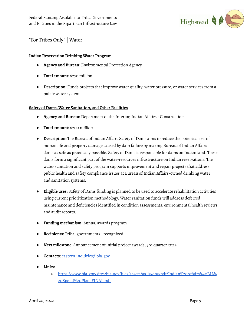

"For Tribes Only"| Water

#### **Indian ReservationDrinking Water Program**

- **Agency and Bureau:** Environmental Protection Agency
- **Total amount:** \$270 million
- **Description:** Funds projects that improve water quality, water pressure, or water services from a public water system

#### **Safety of Dams,Water Sanitation, and Other Facilities**

- **Agency and Bureau:** Department of the Interior,Indian Affairs Construction
- **Total amount:** \$200 million
- **Description:** The Bureau of Indian Affairs Safety of Dams aims to reduce the potential loss of human life and property damage caused by dam failure by making Bureau of Indian Affairs dams as safe as practically possible. Safety of Dams is responsible for dams on Indian land. These dams form a significant part of the water-resources infrastructure on Indian reservations. The water sanitation and safety program supports improvement and repair projects that address public health and safety compliance issues at Bureau of Indian Affairs-owned drinking water and sanitation systems.
- **Eligible uses:** Safety of Dams funding is planned to be used to accelerate rehabilitation activities using current prioritization methodology. Water sanitation funds will address deferred maintenance and deficiencies identified in condition assessments, environmental health reviews and audit reports.
- **Funding mechanism:** Annual awards program
- **Recipients:** Tribal governments -recognized
- **Next milestone:** Announcement of initial project awards, 3rd quarter 2022
- **Contacts:** [eastern.inquiries@bia.gov](mailto:eastern.inquiries@bia.gov)
- **Links:**
	- [https://www.bia.gov/sites/bia.gov/files/assets/as-ia/opa/pdf/Indian%20Affairs%20BIL%](https://www.bia.gov/sites/bia.gov/files/assets/as-ia/opa/pdf/Indian%20Affairs%20BIL%20Spend%20Plan_FINAL.pdf) [20Spend%20Plan\\_FINAL.pdf](https://www.bia.gov/sites/bia.gov/files/assets/as-ia/opa/pdf/Indian%20Affairs%20BIL%20Spend%20Plan_FINAL.pdf)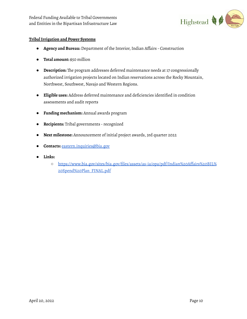

## **TribalIrrigation and Power Systems**

- **Agency and Bureau:** Department of the Interior,Indian Affairs Construction
- **Total amount:** \$50 million
- **Description:** The program addresses deferred maintenance needs at 17 congressionally authorized irrigation projects located on Indian reservations across the Rocky Mountain, Northwest, Southwest, Navajo and Western Regions.
- **Eligible uses:** Address deferred maintenance and deficiencies identified in condition assessments and audit reports
- **Funding mechanism:** Annual awards program
- **Recipients:** Tribal governments -recognized
- **Next milestone:** Announcement of initial project awards, 3rd quarter 2022
- **Contacts:** [eastern.inquiries@bia.gov](mailto:eastern.inquiries@bia.gov)
- **Links:**
	- [https://www.bia.gov/sites/bia.gov/files/assets/as-ia/opa/pdf/Indian%20Affairs%20BIL%](https://www.bia.gov/sites/bia.gov/files/assets/as-ia/opa/pdf/Indian%20Affairs%20BIL%20Spend%20Plan_FINAL.pdf) [20Spend%20Plan\\_FINAL.pdf](https://www.bia.gov/sites/bia.gov/files/assets/as-ia/opa/pdf/Indian%20Affairs%20BIL%20Spend%20Plan_FINAL.pdf)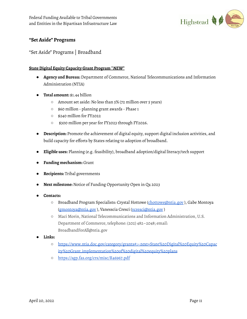

# **"Set Aside" Programs**

"Set Aside" Programs | Broadband

# **State Digital Equity Capacity Grant Program \****NEW***\***

- **Agency and Bureau:** Department of Commerce, National Telecommunications and Information Administration (NTIA)
- **Total amount:** \$1.44 billion
	- Amount set aside: No less than 5% (72 million over 5 years)
	- \$60 million planning grant awards Phase 1
	- \$240 million for FY2022
	- \$300 million per year for FY2023 through FY2026.
- **Description:** Promote the achievement of digital equity, support digital inclusion activities, and build capacity for efforts by States relating to adoption of broadband.
- **Eligible uses:** Planning (e.g. feasibility), broadband adoption/digital literacy/tech support
- **Funding mechanism:** Grant
- **Recipients:** Tribal governments
- **Next milestone:** Notice of Funding Opportunity Open in Q4 2023
- **Contacts:**
	- Broadband Program Specialists: Crystal Hottowe ([chottowe@ntia.gov](mailto:chottowe@ntia.gov)), Gabe Montoya [\(gmontoya@ntia.gov](mailto:gmontoya@ntia.gov) ), Vanesscia Cresci [\(vcresci@ntia.gov](mailto:vcresci@ntia.gov) )
	- Maci Morin, National Telecommunications and Information Administration, U.S. Department of Commerce, telephone: (202) 482–2048; email: BroadbandForAll@ntia.gov
- **● Links:**
	- **○** [https://www.ntia.doc.gov/category/grants#:~:text=State%20Digital%20Equity%20Capac](https://www.ntia.doc.gov/category/grants#:~:text=State%20Digital%20Equity%20Capacity%20Grant,implementation%20of%20digital%20equity%20plans) [ity%20Grant,implementation%20of%20digital%20equity%20plans](https://www.ntia.doc.gov/category/grants#:~:text=State%20Digital%20Equity%20Capacity%20Grant,implementation%20of%20digital%20equity%20plans)
	- **○** <https://sgp.fas.org/crs/misc/R46967.pdf>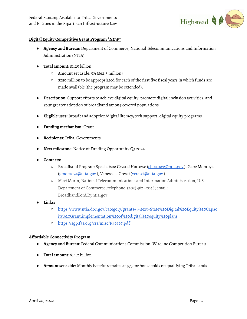Federal Funding Available to Tribal Governments and Entities in the Bipartisan Infrastructure Law



## **Digital Equity Competitive Grant Program \****NEW***\***

- **Agency and Bureau:** Department of Commerce, National Telecommunications and Information Administration (NTIA)
- **Total amount:** \$1.25 billion
	- Amount set aside: 5% (\$62.5 million)
	- \$250 million to be appropriated for each of the first five fiscal years in which funds are made available (the program may be extended).
- **Description:** Support efforts to achieve digital equity, promote digital inclusion activities, and spur greater adoption of broadband among covered populations
- **Eligible uses:** Broadband adoption/digital literacy/tech support, digital equity programs
- **Funding mechanism:** Grant
- **Recipients:** Tribal Governments
- **Next milestone:** Notice of Funding Opportunity Q3 2024
- **Contacts:**
	- Broadband Program Specialists: Crystal Hottowe ([chottowe@ntia.gov](mailto:chottowe@ntia.gov)), Gabe Montoya [\(gmontoya@ntia.gov](mailto:gmontoya@ntia.gov) ), Vanesscia Cresci [\(vcresci@ntia.gov](mailto:vcresci@ntia.gov) )
	- Maci Morin, National Telecommunications and Information Administration, U.S. Department of Commerce; telephone: (202) 482–2048; email: BroadbandForAll@ntia.gov
- **Links:**
	- [https://www.ntia.doc.gov/category/grants#:~:text=State%20Digital%20Equity%20Capac](https://www.ntia.doc.gov/category/grants#:~:text=State%20Digital%20Equity%20Capacity%20Grant,implementation%20of%20digital%20equity%20plans) [ity%20Grant,implementation%20of%20digital%20equity%20plans](https://www.ntia.doc.gov/category/grants#:~:text=State%20Digital%20Equity%20Capacity%20Grant,implementation%20of%20digital%20equity%20plans)
	- <https://sgp.fas.org/crs/misc/R46967.pdf>

#### **Affordable Connectivity Program**

- **Agency and Bureau:** Federal Communications Commission, Wireline Competition Bureau
- **Total amount:** \$14.2 billion
- **Amount set aside:** Monthly benefit remains at \$75 for households on qualifying Tribal lands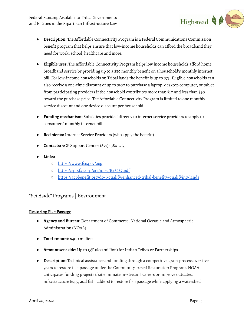Federal Funding Available to Tribal Governments and Entities in the Bipartisan Infrastructure Law



- **Description:** The Affordable Connectivity Program is a Federal Communications Commission benefit program that helps ensure that low-income households can afford the broadband they need for work, school, healthcare and more.
- **Eligible uses:** The Affordable Connectivity Program helps low income households afford home broadband service by providing up to a \$30 monthly benefit on a household's monthly internet bill. For low-income households on Tribal lands the benefit is up to \$75. Eligible households can also receive a one-time discount of up to \$100 to purchase a laptop, desktop computer, or tablet from participating providers if the household contributes more than \$10 and less than \$50 toward the purchase price. The Affordable Connectivity Program is limited to one monthly service discount and one device discount per household.
- **Funding mechanism:** Subsidies provided directly to internet service providers to apply to consumers' monthly internet bill.
- **Recipients:** Internet Service Providers (who apply the benefit)
- **Contacts:** ACP Support Center: (877)- 384-2575
- **Links:**
	- <https://www.fcc.gov/acp>
	- <https://sgp.fas.org/crs/misc/R46967.pdf>
	- <https://acpbenefit.org/do-i-qualify/enhanced-tribal-benefit/#qualifying-lands>

# "Set Aside" Programs | Environment

## **Restoring Fish Passage**

- **Agency and Bureau:** Department of Commerce, National Oceanic and Atmospheric Administration (NOAA)
- **Total amount:** \$400 million
- **Amount set aside:** Up to 15% (\$60 million) for Indian Tribes or Partnerships
- **Description:** Technical assistance and funding through a competitive grant process over five years to restore fish passage under the Community-based Restoration Program. NOAA anticipates funding projects that eliminate in-stream barriers or improve outdated infrastructure (e.g., add fish ladders) to restore fish passage while applying a watershed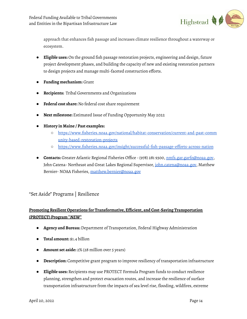

approach that enhances fish passage and increases climate resilience throughout a waterway or ecosystem.

- **Eligible uses:** On the ground fish passage restoration projects, engineering and design, future project development phases, and building the capacity of new and existing restoration partners to design projects and manage multi-faceted construction efforts.
- **Funding mechanism:** Grant
- **Recipients:** Tribal Governments and Organizations
- **Federal cost share:** No federal cost share requirement
- **Next milestone:** Estimated Issue of Funding Opportunity May 2022
- **History in Maine / Past examples:**
	- [https://www.fisheries.noaa.gov/national/habitat-conservation/current-and-past-comm](https://www.fisheries.noaa.gov/national/habitat-conservation/current-and-past-community-based-restoration-projects) [unity-based-restoration-projects](https://www.fisheries.noaa.gov/national/habitat-conservation/current-and-past-community-based-restoration-projects)
	- <https://www.fisheries.noaa.gov/insight/successful-fish-passage-efforts-across-nation>
- **Contacts:** Greater Atlantic Regional Fisheries Office (978) 281 9300, [nmfs.gar.garfo@noaa.gov](mailto:nmfs.gar.garfo@noaa.gov), John Catena- Northeast and Great Lakes Regional Supervisor, [john.catena@noaa.gov,](mailto:john.catena@noaa.gov) Matthew Bernier- NOAA Fisheries, [matthew.bernier@noaa.gov](mailto:matthew.bernier@noaa.gov)

# "Set Aside" Programs | Resilience

# **Promoting Resilient Operations for Transformative, Efficient, and Cost-Saving Transportation (PROTECT) Program \****NEW***\***

- **Agency and Bureau:** Department of Transportation, Federal Highway Administration
- **Total amount:** \$1.4 billion
- **Amount set aside:** 2% (28 million over 5 years)
- **Description:** Competitive grant program to improve resiliency of transportation infrastructure
- **Eligible uses:** Recipients may use PROTECT Formula Program funds to conduct resilience planning, strengthen and protect evacuation routes, and increase the resilience of surface transportation infrastructure from the impacts of sea level rise, flooding, wildfires, extreme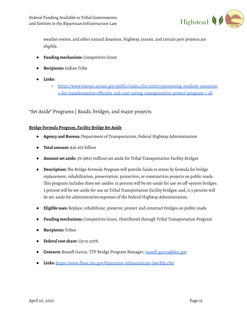

weather events, and other natural disasters. Highway, transit, and certain port projects are eligible.

- **Funding mechanism:** Competitive Grant
- **Recipients:**Indian Tribe
- **Links:**
	- [https://www.warner.senate.gov/public/index.cfm/2000/1/promoting-resilient-operation](https://www.warner.senate.gov/public/index.cfm/2000/1/promoting-resilient-operations-for-transformative-efficient-and-cost-saving-transportation-protect-program-1-4b) [s-for-transformative-efficient-and-cost-saving-transportation-protect-program-1-4b](https://www.warner.senate.gov/public/index.cfm/2000/1/promoting-resilient-operations-for-transformative-efficient-and-cost-saving-transportation-protect-program-1-4b)

"Set Aside" Programs | Roads, bridges, and major projects

# **Bridge Formula Program, Facility Bridge Set Aside**

- **Agency and Bureau:** Department of Transportation, Federal Highway Administration
- **Total amount:** \$26.675 billion
- **Amount set aside:** 3% (\$825 million) set aside for Tribal Transportation Facility Bridges
- **Description:** The Bridge Formula Program will provide funds to states by formula for bridge replacement, rehabilitation, preservation, protection, or construction projects on public roads. This program includes three set-asides: 15 percent will be set-aside for use on off-system bridges; 3 percent will be set-aside for use on Tribal Transportation Facility bridges; and, 0.5 percent will be set-aside for administrative expenses of the Federal Highway Administration.
- **Eligible uses:** Replace, rehabilitate, preserve, protect and construct bridges on public roads
- **Funding mechanism:** Competitive Grant, Distributed through Tribal Transportation Program
- **Recipients:** Tribes
- **Federal cost share:** Up to 100%
- **Contacts:** Russell Garcia, TTP Bridge Program Manager, [russell.garcia@dot.gov](mailto:russell.garcia@dot.gov)
- **Links:** <https://www.fhwa.dot.gov/bipartisan-infrastructure-law/bfp.cfm>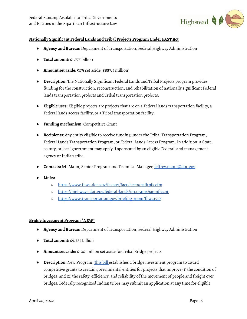

#### **Nationally Significant Federal Lands and Tribal Projects Program Under FAST Act**

- **Agency and Bureau:** Department of Transportation, Federal Highway Administration
- **Total amount:** \$1.775 billion
- **Amount set aside:** 50% set aside (\$887.5 million)
- **Description:** The Nationally Significant Federal Lands and Tribal Projects program provides funding for the construction, reconstruction, and rehabilitation of nationally significant Federal lands transportation projects and Tribal transportation projects.
- **Eligible uses:** Eligible projects are projects that are on a Federal lands transportation facility, a Federal lands access facility, or a Tribal transportation facility.
- **Funding mechanism:** Competitive Grant
- **Recipients:** Any entity eligible to receive funding under the Tribal Transportation Program, Federal Lands Transportation Program, or Federal Lands Access Program.In addition, a State, county, or local government may apply if sponsored by an eligible Federal land management agency or Indian tribe.
- **Contacts:** Jeff Mann, Senior Program and Technical Manager, [jeffrey.mann@dot.gov](mailto:jeffrey.mann@dot.gov)
- Links:
	- <https://www.fhwa.dot.gov/fastact/factsheets/nsfltpfs.cfm>
	- <https://highways.dot.gov/federal-lands/programs/significant>
	- <https://www.transportation.gov/briefing-room/fhwa1519>

#### **Bridge Investment Program \****NEW***\***

- **Agency and Bureau:** Department of Transportation, Federal Highway Administration
- **Total amount:** \$9.235 billion
- **Amount set aside:** \$100 million set aside for Tribal Bridge projects
- **Description:** New Program: [This](https://www.congress.gov/bill/117th-congress/senate-bill/1817?s=1&r=54) bill establishes a bridge investment program to award competitive grants to certain governmental entities for projects that improve (1) the condition of bridges; and (2) the safety, efficiency, and reliability of the movement of people and freight over bridges. Federally recognized Indian tribes may submit an application at any time for eligible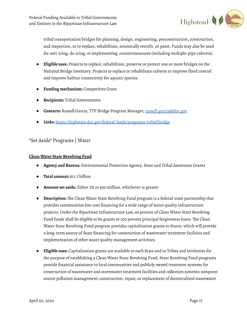

tribal transportation bridges for planning, design, engineering, preconstruction, construction, and inspection, or to replace, rehabilitate, seismically retrofit, or paint. Funds may also be used for anti-icing, de-icing, or implementing countermeasures (including multiple-pipe culverts).

- **· Eligible uses:** Projects to replace, rehabilitate, preserve or protect one or more bridges on the National Bridge Inventory. Projects to replace or rehabilitate culverts to improve flood control and improve habitat connectivity for aquatic species.
- **Funding mechanism:** Competitive Grant
- **Recipients:** Tribal Governments
- **Contacts:** Russell Garcia, TTP Bridge Program Manager, [russell.garcia@dot.gov](mailto:russell.garcia@dot.gov)
- **Links:** <https://highways.dot.gov/federal-lands/programs-tribal/bridge>

# "Set Aside" Programs | Water

#### **Clean Water State Revolving Fund**

- **Agency and Bureau:** Environmental Protection Agency, State and Tribal Assistance Grants
- **Total amount:** \$11.7 billion
- **Amount set aside:** Either 2% or \$30 million, whichever is greater
- **Description:** The Clean Water State Revolving Fund program is a federal-state partnership that provides communities low-cost financing for a wide range of water quality infrastructure projects. Under the Bipartisan Infrastructure Law, 49 percent of Clean Water State Revolving Fund funds shall be eligible to be grants or 100 percent principal forgiveness loans. The Clean Water State Revolving Fund program provides capitalization grants to States, which will provide a long-term source of State financing for construction of wastewater treatment facilities and implementation of other water quality management activities.
- **Eligible uses:** Capitalization grants are available to each State and to Tribes and territories for the purpose of establishing a Clean Water State Revolving Fund. State Revolving Fund programs provide financial assistance to local communities and publicly owned treatment systems for construction of wastewater and stormwater treatment facilities and collection systems; nonpoint source pollution management; construction, repair, or replacement of decentralized wastewater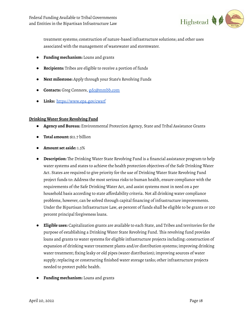

treatment systems; construction of nature-based infrastructure solutions; and other uses associated with the management of wastewater and stormwater.

- **Funding mechanism:** Loans and grants
- **Recipients:** Tribes are eligible to receive a portion of funds
- **Next milestone:** Apply through your State's Revolving Funds
- **Contacts:** Greg Connors, [gdc@mmbb.com](mailto:gdc@mmbb.com)
- **Links:** <https://www.epa.gov/cwsrf>

#### **Drinking Water State Revolving Fund**

- **Agency and Bureau:** Environmental Protection Agency, State and Tribal Assistance Grants
- **Total amount:** \$11.7 billion
- **Amount set aside:** 1.5%
- **Description:** The Drinking Water State Revolving Fund is a financial assistance program to help water systems and states to achieve the health protection objectives of the Safe Drinking Water Act. States are required to give priority for the use of Drinking Water State Revolving Fund project funds to: Address the most serious risks to human health, ensure compliance with the requirements of the Safe Drinking Water Act, and assist systems most in need on a per household basis according to state affordability criteria. Not all drinking water compliance problems, however, can be solved through capital financing of infrastructure improvements. Under the Bipartisan Infrastructure Law, 49 percent of funds shall be eligible to be grants or 100 percent principal forgiveness loans.
- **Eligible uses:** Capitalization grants are available to each State, and Tribes and territories for the purpose of establishing a Drinking Water State Revolving Fund. This revolving fund provides loans and grants to water systems for eligible infrastructure projects including: construction of expansion of drinking water treatment plants and/or distribution systems; improving drinking water treatment; fixing leaky or old pipes (water distribution); improving sources of water supply; replacing or constructing finished water storage tanks; other infrastructure projects needed to protect public health.
- **Funding mechanism:** Loans and grants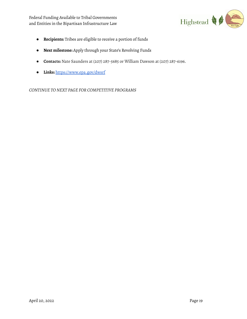Federal Funding Available to Tribal Governments and Entities in the Bipartisan Infrastructure Law



- **Recipients:** Tribes are eligible to receive a portion of funds
- **Next milestone:** Apply through your State's Revolving Funds
- **Contacts:** Nate Saunders at (207) 287-5685 or William Dawson at (207) 287-6196.
- **Links:** <https://www.epa.gov/dwsrf>

*CONTINUE TONEXT PAGE FOR COMPETITIVE PROGRAMS*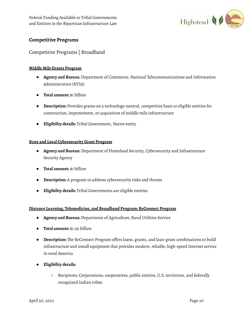

# **Competitive Programs**

# Competitive Programs | Broadband

# **Middle Mile Grants Program**

- **Agency and Bureau:** Department of Commerce, National Telecommunications and Information Administration (NTIA)
- **Total amount:** \$1 billion
- **Description:** Provides grants on a technology-neutral, competitive basis to eligible entities for construction, improvement, or acquisition of middle mile infrastructure
- **Eligibility details:** Tribal Government, Native entity

# **State and Local Cybersecurity Grant Program**

- **Agency and Bureau:** Department of Homeland Security, Cybersecurity and Infrastructure Security Agency
- **Total amount:** \$1 billion
- **Description:** A program to address cybersecurity risks and threats
- **Eligibility details:** Tribal Governments are eligible entities

# **Distance Learning, Telemedicine, and Broadband Program: ReConnect Program**

- **Agency and Bureau:** Department of Agriculture, Rural Utilities Service
- **Total amount:** \$1.92 billion
- **Description:** The ReConnect Program offers loans, grants, and loan-grant combinations to build infrastructure and install equipment that provides modern, reliable, high-speed Internet service in rural America
- **● Eligibility details:**
	- Recipients: Corporations, cooperatives, public entities, U.S. territories, and federally recognized Indian tribes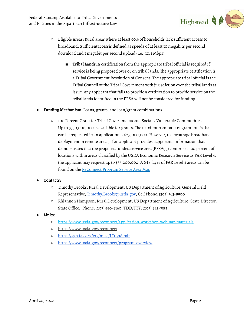

- Eligible Areas: Rural areas where at least 90% of households lack sufficient access to broadband. Sufficientaccessis defined as speeds of at least 10 megabits per second download and 1 megabit per second upload (i.e., 10/1 Mbps).
	- **Tribal Lands**: A certification from the appropriate tribal official is required if service is being proposed over or on tribal lands. The appropriate certification is a Tribal Government Resolution of Consent. The appropriate tribal official is the Tribal Council of the Tribal Government with jurisdiction over the tribal lands at issue. Any applicant that fails to provide a certification to provide service on the tribal lands identified in the PFSA will not be considered for funding.
- **Funding Mechanism:** Loans, grants, and loan/grant combinations
	- 100 Percent Grant for Tribal Governments and Socially Vulnerable Communities Up to \$350,000,000 is available for grants. The maximum amount of grant funds that can be requested in an application is \$25,000,000. However, to encourage broadband deployment in remote areas, if an applicant provides supporting information that demonstrates that the proposed funded service area (PFSA(s)) comprises 100 percent of locations within areas classified by the USDA Economic Research Service as FAR Level 4, the applicant may request up to \$35,000,000. A GIS layer of FAR Level 4 areas can be found on the [ReConnect](https://ruraldevelopment.maps.arcgis.com/apps/webappviewer/index.html?id=e0876d9cc9ef458ea00c199b9680c59b) Program Service Area Map.

## **● Contacts:**

- Timothy Brooks, Rural Development, US Department of Agriculture, General Field Representative, [Timothy.Brooks@usda.gov,](mailto:Timothy.Brooks@usda.gov) Cell Phone: (307) 763-8900
- **○** Rhiannon Hampson, Rural Development, US Department of Agriculture, State Director, State Office,, Phone: (207) 990-9160, TDD/TTY: (207) 942-7331
- **● Links:**
	- **○** <https://www.usda.gov/reconnect/application-workshop-webinar-materials>
	- **○** [https://www.usda.gov/reconnect](https://www.usda.gov/%E2%80%8Breconnect)
	- **○** <https://sgp.fas.org/crs/misc/IF11918.pdf>
	- **○** <https://www.usda.gov/reconnect/program-overview>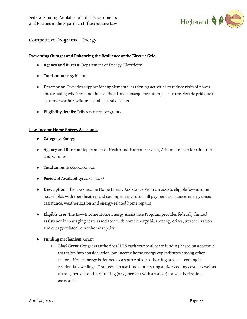

# Competitive Programs | Energy

## **Preventing Outages and Enhancing the Resilience of the Electric Grid**

- **Agency and Bureau:** Department of Energy, Electricity
- **Total amount:** \$5 billion
- **Description:** Provides support for supplemental hardening activities to reduce risks of power lines causing wildfires, and the likelihood and consequence of impacts to the electric grid due to extreme weather, wildfires, and natural disasters.
- **Eligibility details:** Tribes can receive grants

#### **Low-Income Home Energy Assistance**

- **Category:** Energy
- **Agency and Bureau:** Department of Health and Human Services, Administration for Children and Families
- **Total amount:** \$500,000,000
- **Period of Availability:** 2022 2026
- **Description:** The Low-Income Home Energy Assistance Program assists eligible low-income households with their heating and cooling energy costs, bill payment assistance, energy crisis assistance, weatherization and energy-related home repairs
- **Eligible uses:** The Low-Income Home Energy Assistance Program provides federally funded assistance in managing costs associated with home energy bills, energy crises, weatherization and energy-related minor home repairs.
- **Funding mechanism:** Grant
	- *BlockGrant***:** Congress authorizes HHS each year to allocate funding based on a formula that takes into consideration low-income home energy expenditures among other factors. Home energy is defined as a source of space-heating or space-cooling in residential dwellings. Grantees can use funds for heating and/or cooling costs, as well as up to 15 percent of their funding (or 25 percent with a waiver) for weatherization assistance.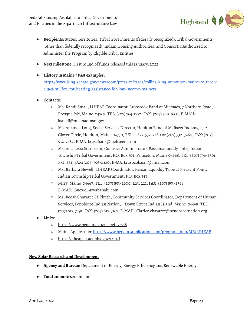

- **Recipients:** States, Territories, Tribal Governments (federally recognized), Tribal Governments (other than federally recognized), Indian Housing Authorities, and Consortia Authorized to Administer the Program by Eligible Tribal Entities
- **Next milestone:** First round of funds released this January, 2022.

## **● History in Maine / Past examples:**

[https://www.king.senate.gov/newsroom/press-releases/collins-king-announce-maine-to-receiv](https://www.king.senate.gov/newsroom/press-releases/collins-king-announce-maine-to-receive-363-million-for-heating-assistance-for-low-income-mainers) [e-363-million-for-heating-assistance-for-low-income-mainers](https://www.king.senate.gov/newsroom/press-releases/collins-king-announce-maine-to-receive-363-million-for-heating-assistance-for-low-income-mainers)

- **● Contacts:**
	- Ms. Kandi Small, LIHEAP Coordinator, Aroostook Band of Micmacs, 7 Northern Road, Presque Isle, Maine 04769, TEL: (207) 764-1972, FAX: (207) 760-1660, E-MAIL: ksmall@micmac-nsn.gov
	- Ms. Amanda Long, Social Services Director, Houlton Band of Maliseet Indians, 13-2 Clover Circle, Houlton, Maine 04730, TEL: 1-877-532-7280 or (207) 532-7260, FAX: (207) 532-7287, E-MAIL: asabatis@maliseets.com
	- Ms. Anastasia Socobasin, Contract Administrator, Passamaquoddy Tribe, Indian Township Tribal Government, P.O. Box 301, Princeton, Maine 04668, TEL: (207) 796-2301 Ext. 221, FAX: (207) 796-2420, E-MAIL: asocobasin@gmail.com
	- Ms. Barbara Newell, LIHEAP Coordinator, Passamaquoddy Tribe at Pleasant Point, Indian Township Tribal Government, P.O. Box 343
	- Perry, Maine 04667, TEL: (207) 853-2600, Ext. 221, FAX: (207) 853-2368 E-MAIL: Bnewell@wabanaki.com
	- Ms. Reese Chavaree-Hildreth, Community Services Coordinator, Department of Human Services, Penobscot Indian Nation, 4 Down Street Indian Island, Maine 04468, TEL: (207) 817-7491, FAX: (207) 817-3167, E-MAIL: Clarice.chavaree@penobscotnation.org
- **● Links:**
	- **○** <https://www.benefits.gov/benefit/1558>
	- Maine Application: [https://www.benefitsapplication.com/program\\_info/ME/LIHEAP](https://www.benefitsapplication.com/program_info/ME/LIHEAP)
	- **○** <https://liheapch.acf.hhs.gov/tribal>

## **New Solar Research andDevelopment**

- **Agency and Bureau:** Department of Energy, Energy Efficiency and Renewable Energy
- **Total amount:** \$20 million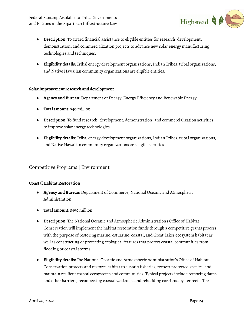Federal Funding Available to Tribal Governments and Entities in the Bipartisan Infrastructure Law



- **Description:** To award financial assistance to eligible entities for research, development, demonstration, and commercialization projects to advance new solar energy manufacturing technologies and techniques.
- **Eligibility details:** Tribal energy development organizations, Indian Tribes, tribal organizations, and Native Hawaiian community organizations are eligible entities.

#### **Solar improvement research and development**

- **Agency and Bureau:** Department of Energy, Energy Efficiency and Renewable Energy
- **Total amount:** \$40 million
- **Description:** To fund research, development, demonstration, and commercialization activities to improve solar energy technologies.
- **Eligibility details:** Tribal energy development organizations, Indian Tribes, tribal organizations, and Native Hawaiian community organizations are eligible entities.

# Competitive Programs | Environment

#### **Coastal Habitat Restoration**

- **Agency and Bureau:** Department of Commerce, National Oceanic and Atmospheric Administration
- **Total amount:** \$490 million
- **Description:** The National Oceanic and Atmospheric Administration's Office of Habitat Conservation will implement the habitat restoration funds through a competitive grants process with the purpose of restoring marine, estuarine, coastal, and Great Lakes ecosystem habitat as well as constructing or protecting ecological features that protect coastal communities from flooding or coastal storms.
- **Eligibility details:** The National Oceanic and Atmospheric Administration's Office of Habitat Conservation protects and restores habitat to sustain fisheries, recover protected species, and maintain resilient coastal ecosystems and communities. Typical projects include removing dams and other barriers, reconnecting coastal wetlands, and rebuilding coral and oyster reefs. The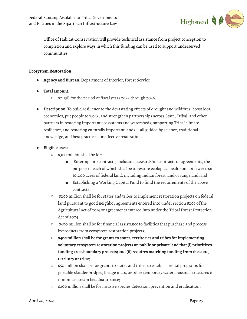

Office of Habitat Conservation will provide technical assistance from project conception to completion and explore ways in which this funding can be used to support underserved communities.

#### **Ecosystem Restoration**

- **Agency and Bureau:** Department of Interior, Forest Service
- **● Total amount:**
	- \$2.13B for the period of fiscal years 2022 through 2026.
- **Description:** To build resilience to the devastating effects of drought and wildfires, boost local economies, put people to work, and strengthen partnerships across State, Tribal, and other partners in restoring important ecosystems and watersheds, supporting Tribal climate resilience, and restoring culturally important lands— all guided by science, traditional knowledge, and best practices for effective restoration.
- **● Eligible uses:**
	- \$300 million shall be for:
		- Entering into contracts, including stewardship contracts or agreements, the purpose of each of which shall be to restore ecological health on not fewer than 10,000 acres of federal land, including Indian forest land or rangeland; and
		- Establishing a Working Capital Fund to fund the requirements of the above contracts;
	- \$200 million shall be for states and tribes to implement restoration projects on federal land pursuant to good neighbor agreements entered into under section 8206 of the Agricultural Act of 2014 or agreements entered into under the Tribal Forest Protection Act of 2004;
	- \$400 million shall be for financial assistance to facilities that purchase and process byproducts from ecosystem restoration projects;
	- **\$400 million shall be for grants to states,territories and tribes for implementing voluntary ecosystem restoration projects on public or private land that (i) prioritizes funding crossboundary projects; and (ii) requires matching funding from the state, territory or tribe**;
	- \$50 million shall be for grants to states and tribes to establish rental programs for portable skidder bridges, bridge mats, or other temporary water crossing structures to minimize stream bed disturbance;
	- \$200 million shall be for invasive species detection, prevention and eradication;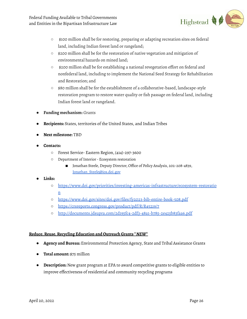

- \$100 million shall be for restoring, preparing or adapting recreation sites on federal land, including Indian forest land or rangeland;
- \$200 million shall be for the restoration of native vegetation and mitigation of environmental hazards on mined land;
- \$200 million shall be for establishing a national revegetation effort on federal and nonfederal land, including to implement the National Seed Strategy for Rehabilitation and Restoration; and
- \$80 million shall be for the establishment of a collaborative-based, landscape-style restoration program to restore water quality or fish passage on federal land, including Indian forest land or rangeland.
- **Funding mechanism:** Grants
- **Recipients:** States, territories of the United States, and Indian Tribes
- **Next milestone:** TBD
- **● Contacts:**
	- Forest Service- Eastern Region, (414)-297-3600
	- Department of Interior- Ecosystem restoration
		- Jonathan Steele, Deputy Director, Office of Policy Analysis, 202-208-4839, [Jonathan\\_Steele@ios.doi.gov](mailto:Jonathan_Steele@ios.doi.gov)
- **● Links:**
	- [https://www.doi.gov/priorities/investing-americas-infrastructure/ecosystem-restoratio](https://www.doi.gov/priorities/investing-americas-infrastructure/ecosystem-restoration) [n](https://www.doi.gov/priorities/investing-americas-infrastructure/ecosystem-restoration)
	- <https://www.doi.gov/sites/doi.gov/files/fy2023-bib-entire-book-508.pdf>
	- <https://crsreports.congress.gov/product/pdf/R/R45219/7>
	- <http://documents.jdsupra.com/2d195fc4-2df3-48a1-b785-2e425b83faa6.pdf>

## **Reduce,Reuse,Recycling Education and Outreach Grants \****NEW***\***

- **Agency and Bureau:** Environmental Protection Agency, State and Tribal Assistance Grants
- **Total amount:** \$75 million
- **Description:** New grant program at EPA to award competitive grants to eligible entities to improve effectiveness of residential and community recycling programs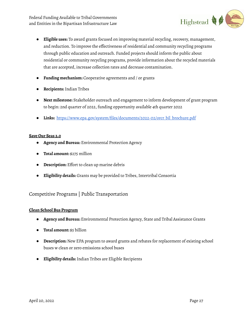Federal Funding Available to Tribal Governments and Entities in the Bipartisan Infrastructure Law



- **Eligible uses:** To award grants focused on improving material recycling, recovery, management, and reduction. To improve the effectiveness of residential and community recycling programs through public education and outreach. Funded projects should inform the public about residential or community recycling programs, provide information about the recycled materials that are accepted, increase collection rates and decrease contamination.
- **Funding mechanism:** Cooperative agreements and / or grants
- **Recipients:** Indian Tribes
- **Next milestone:** Stakeholder outreach and engagement to inform development of grant program to begin: 2nd quarter of 2022, funding opportunity available 4th quarter 2022
- **Links:** [https://www.epa.gov/system/files/documents/2022-02/orcr\\_bil\\_brochure.pdf](https://www.epa.gov/system/files/documents/2022-02/orcr_bil_brochure.pdf)

#### **Save Our Seas 2.0**

- **Agency and Bureau:** Environmental Protection Agency
- **Total amount:** \$275 million
- **Description:** Effort to clean up marine debris
- **Eligibility details:** Grants may be provided to Tribes, Intertribal Consortia

# Competitive Programs | Public Transportation

#### **Clean School Bus Program**

- **Agency and Bureau:** Environmental Protection Agency, State and Tribal Assistance Grants
- **Total amount:** \$5 billion
- **Description:** New EPA program to award grants and rebates for replacement of existing school buses w clean or zero emissions school buses
- **Eligibility details:** Indian Tribes are Eligible Recipients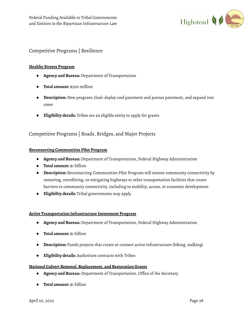

# Competitive Programs | Resilience

#### **Healthy Streets Program**

- **Agency and Bureau:** Department of Transportation
- **Total amount:** \$500 million
- **Description:** New program: Goal: deploy cool pavement and porous pavement, and expand tree cover
- **Eligibility details:** Tribes are an eligible entity to apply for grants

# Competitive Programs | Roads, Bridges, and Major Projects

#### **Reconnecting Communities Pilot Program**

- **Agency and Bureau:** Department of Transportation, Federal Highway Administration
- **Total amount:** \$1 billion
- **Description:** Reconnecting Communities Pilot Program will restore community connectivity by removing, retrofitting, or mitigating highways or other transportation facilities that create barriers to community connectivity, including to mobility, access, or economic development
- **Eligibility details:** Tribal governments may apply

#### **Active Transportation Infrastructure Investment Program**

- **Agency and Bureau:** Department of Transportation, Federal Highway Administration
- **Total amount:** \$1 billion
- **Description:** Funds projects that create or connect active infrastructure (biking, walking)
- **Eligibility details:** Authorizes contracts with Tribes

#### **National Culvert Removal,Replacement, and Restoration Grants**

- **Agency and Bureau:** Department of Transportation, Office of the Secretary
- **Total amount:** \$1 billion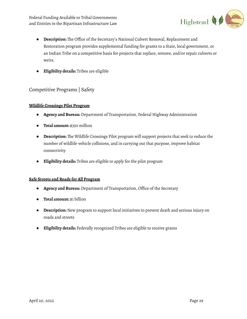

- **Description:** The Office of the Secretary's National Culvert Removal, Replacement and Restoration program provides supplemental funding for grants to a State, local government, or an Indian Tribe on a competitive basis for projects that replace, remove, and/or repair culverts or weirs.
- **Eligibility details:** Tribes are eligible

# Competitive Programs | Safety

#### **Wildlife Crossings Pilot Program**

- **Agency and Bureau:** Department of Transportation, Federal Highway Administration
- **Total amount:** \$350 million
- **Description:** The Wildlife Crossings Pilot program will support projects that seek to reduce the number of wildlife-vehicle collisions, and in carrying out that purpose, improve habitat connectivity
- **Eligibility details:** Tribes are eligible to apply for the pilot program

## **Safe Streets and Roads for All Program**

- **Agency and Bureau:** Department of Transportation, Office of the Secretary
- **Total amount:** \$1 billion
- **Description:** New program to support local initiatives to prevent death and serious injury on roads and streets
- **Eligibility details:** Federally recognized Tribes are eligible to receive grants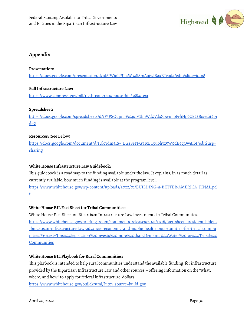

# **Appendix**

## **Presentation:**

[https://docs.google.com/presentation/d/1d6JWioLPJJ\\_sW3zSSmAqjwlBaxBTrqda/edit#slide=id.p8](https://docs.google.com/presentation/d/1d6JWioLPJJ_sW3zSSmAqjwlBaxBTrqda/edit#slide=id.p8)

# **FullInfrastructure Law:**

<https://www.congress.gov/bill/117th-congress/house-bill/3684/text>

# **Spreadsheet:**

[https://docs.google.com/spreadsheets/d/1F3PSOqpngVc2jup5tlmWd0VdxZowmlpFrhHg9Ck72Bc/edit#gi](https://docs.google.com/spreadsheets/d/1F3PSOqpngVc2jup5tlmWd0VdxZowmlpFrhHg9Ck72Bc/edit#gid=0)  $d=0$ 

# **Resources:** (See Below)

https://docs.google.com/document/d/1UlcYdm5IS-\_EGzSeFPG3TcBQtuoh3z5W0dB9qOwAibI/edit?usp= sharing

# **White House [Infrastructure](https://www.whitehouse.gov/wp-content/uploads/2022/01/BUILDING-A-BETTER-AMERICA_FINAL.pdf) Law Guidebook:**

This guidebook is a roadmap to the funding available under the law.It explains, in as much detail as currently available, how much funding is available at the program level.

[https://www.whitehouse.gov/wp-content/uploads/2022/01/BUILDING-A-BETTER-AMERICA\\_FINAL.pd](https://www.whitehouse.gov/wp-content/uploads/2022/01/BUILDING-A-BETTER-AMERICA_FINAL.pdf) [f](https://www.whitehouse.gov/wp-content/uploads/2022/01/BUILDING-A-BETTER-AMERICA_FINAL.pdf)

## **White House BIL Fact Sheet for Tribal [Communities:](https://www.whitehouse.gov/briefing-room/statements-releases/2021/11/18/fact-sheet-president-bidens-bipartisan-infrastructure-law-advances-economic-and-public-health-opportunities-for-tribal-communities/#:~:text=This%20legislation%20invests%20more%20than,Drinking%20Water%20for%20Tribal%20Communities)**

White House Fact Sheet on Bipartisan Infrastructure Law investments in Tribal Communities. [https://www.whitehouse.gov/briefing-room/statements-releases/2021/11/18/fact-sheet-president-bidens](https://www.whitehouse.gov/briefing-room/statements-releases/2021/11/18/fact-sheet-president-bidens-bipartisan-infrastructure-law-advances-economic-and-public-health-opportunities-for-tribal-communities/#:~:text=This%20legislation%20invests%20more%20than,Drinking%20Water%20for%20Tribal%20Communities) [-bipartisan-infrastructure-law-advances-economic-and-public-health-opportunities-for-tribal-commu](https://www.whitehouse.gov/briefing-room/statements-releases/2021/11/18/fact-sheet-president-bidens-bipartisan-infrastructure-law-advances-economic-and-public-health-opportunities-for-tribal-communities/#:~:text=This%20legislation%20invests%20more%20than,Drinking%20Water%20for%20Tribal%20Communities) [nities/#:~:text=This%20legislation%20invests%20more%20than,Drinking%20Water%20for%20Tribal%20](https://www.whitehouse.gov/briefing-room/statements-releases/2021/11/18/fact-sheet-president-bidens-bipartisan-infrastructure-law-advances-economic-and-public-health-opportunities-for-tribal-communities/#:~:text=This%20legislation%20invests%20more%20than,Drinking%20Water%20for%20Tribal%20Communities) **[Communities](https://www.whitehouse.gov/briefing-room/statements-releases/2021/11/18/fact-sheet-president-bidens-bipartisan-infrastructure-law-advances-economic-and-public-health-opportunities-for-tribal-communities/#:~:text=This%20legislation%20invests%20more%20than,Drinking%20Water%20for%20Tribal%20Communities)** 

# **White House BIL Playbook for Rural [Communities:](https://www.whitehouse.gov/build/rural/?utm_source=build.gov)**

This playbook is intended to help rural communities understand the available funding for infrastructure provided by the Bipartisan Infrastructure Law and other sources – offering information on the "what, where, and how" to apply for federal infrastructure dollars.

[https://www.whitehouse.gov/build/rural/?utm\\_source=build.gov](https://www.whitehouse.gov/build/rural/?utm_source=build.gov)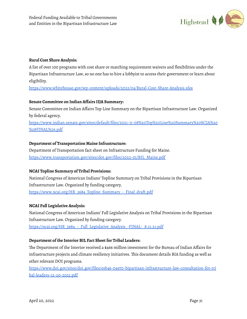

#### **Rural Cost Share [Analysis:](https://www.whitehouse.gov/wp-content/uploads/2022/04/Rural-Cost-Share-Analysis.xlsx)**

A list of over 100 programs with cost share or matching requirement waivers and flexibilities under the Bipartisan Infrastructure Law, so no one has to hire a lobbyist to access their government or learn about eligibility.

<https://www.whitehouse.gov/wp-content/uploads/2022/04/Rural-Cost-Share-Analysis.xlsx>

#### **Senate [Committee](https://www.indian.senate.gov/sites/default/files/2021-11-08%20Top%20Line%20Summary%20SCIA%20%28FINAL%29.pdf) on Indian Affairs IIJA Summary:**

Senate Committee on Indian Affairs Top Line Summary on the Bipartisan Infrastructure Law. Organized by federal agency.

[https://www.indian.senate.gov/sites/default/files/2021-11-08%20Top%20Line%20Summary%20SCIA%20](https://www.indian.senate.gov/sites/default/files/2021-11-08%20Top%20Line%20Summary%20SCIA%20%28FINAL%29.pdf) [%28FINAL%29.pdf](https://www.indian.senate.gov/sites/default/files/2021-11-08%20Top%20Line%20Summary%20SCIA%20%28FINAL%29.pdf)

#### **Department of [Transportation](https://www.transportation.gov/sites/dot.gov/files/2022-01/BIL_Maine.pdf) Maine Infrastructure:**

Department of Transportation fact sheet on Infrastructure Funding for Maine. [https://www.transportation.gov/sites/dot.gov/files/2022-01/BIL\\_Maine.pdf](https://www.transportation.gov/sites/dot.gov/files/2022-01/BIL_Maine.pdf)

## **NCAI Topline Summary of Tribal [Provisions:](https://www.ncai.org/HR_3684_Topline_Summary_-_Final_draft.pdf)**

National Congress of American Indians' Topline Summary on Tribal Provisions in the Bipartisan Infrastructure Law. Organized by funding category. [https://www.ncai.org/HR\\_3684\\_Topline\\_Summary\\_-\\_Final\\_draft.pdf](https://www.ncai.org/HR_3684_Topline_Summary_-_Final_draft.pdf)

#### **NCAI Full [Legislative](https://ncai.org/HR_3684_-_Full_Legislative_Analysis_-FINAL-_8.11.21.pdf) Analysis:**

National Congress of American Indians' Full Legislative Analysis on Tribal Provisions in the Bipartisan Infrastructure Law. Organized by funding category. https://ncai.org/HR\_3684 - Full\_Legislative\_Analysis\_-FINAL-\_8.11.21.pdf

#### **[Department](https://www.doi.gov/sites/doi.gov/files/esb46-04970-bipartisan-infrastructure-law-consultation-for-tribal-leaders-12-20-2021.pdf) of the Interior BIL Fact Sheet for Tribal Leaders:**

The Department of the Interior received a \$466 million investment for the Bureau of Indian Affairs for infrastructure projects and climate resiliency initiatives. This document details BIA funding as well as other relevant DOI programs.

[https://www.doi.gov/sites/doi.gov/files/esb46-04970-bipartisan-infrastructure-law-consultation-for-tri](https://www.doi.gov/sites/doi.gov/files/esb46-04970-bipartisan-infrastructure-law-consultation-for-tribal-leaders-12-20-2021.pdf) [bal-leaders-12-20-2021.pdf](https://www.doi.gov/sites/doi.gov/files/esb46-04970-bipartisan-infrastructure-law-consultation-for-tribal-leaders-12-20-2021.pdf)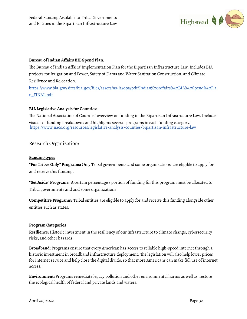

#### **Bureau [ofIndian](https://www.bia.gov/sites/bia.gov/files/assets/as-ia/opa/pdf/Indian%20Affairs%20BIL%20Spend%20Plan_FINAL.pdf) Affairs BIL Spend Plan**:

The Bureau of Indian Affairs'Implementation Plan for the Bipartisan Infrastructure Law.Includes BIA projects for Irrigation and Power, Safety of Dams and Water Sanitation Construction, and Climate Resilience and Relocation.

[https://www.bia.gov/sites/bia.gov/files/assets/as-ia/opa/pdf/Indian%20Affairs%20BIL%20Spend%20Pla](https://www.bia.gov/sites/bia.gov/files/assets/as-ia/opa/pdf/Indian%20Affairs%20BIL%20Spend%20Plan_FINAL.pdf) [n\\_FINAL.pdf](https://www.bia.gov/sites/bia.gov/files/assets/as-ia/opa/pdf/Indian%20Affairs%20BIL%20Spend%20Plan_FINAL.pdf)

#### **BIL [Legislative](https://www.naco.org/resources/legislative-analysis-counties-bipartisan-infrastructure-law) Analysis for Counties:**

The National Association of Counties' overview on funding in the Bipartisan Infrastructure Law.Includes visuals of funding breakdowns and highlights several programs in each funding category. <https://www.naco.org/resources/legislative-analysis-counties-bipartisan-infrastructure-law>

# Research Organization:

#### **Funding types**

**"For Tribes Only" Programs:** Only Tribal governments and some organizations are eligible to apply for and receive this funding.

**"Set Aside" Programs:** A certain percentage / portion of funding for this program must be allocated to Tribal governments and and some organizations

**Competitive Programs:** Tribal entities are eligible to apply for and receive this funding alongside other entities such as states.

#### **Program Categories**

**Resilience:** Historic investment in the resiliency of our infrastructure to climate change, cybersecurity risks, and other hazards.

**Broadband:** Programs ensure that every American has access to reliable high-speed internet through a historic investment in broadband infrastructure deployment. The legislation will also help lower prices for internet service and help close the digital divide, so that more Americans can make full use of internet access.

**Environment:** Programs remediate legacy pollution and other environmental harms as well as restore the ecological health of federal and private lands and waters.